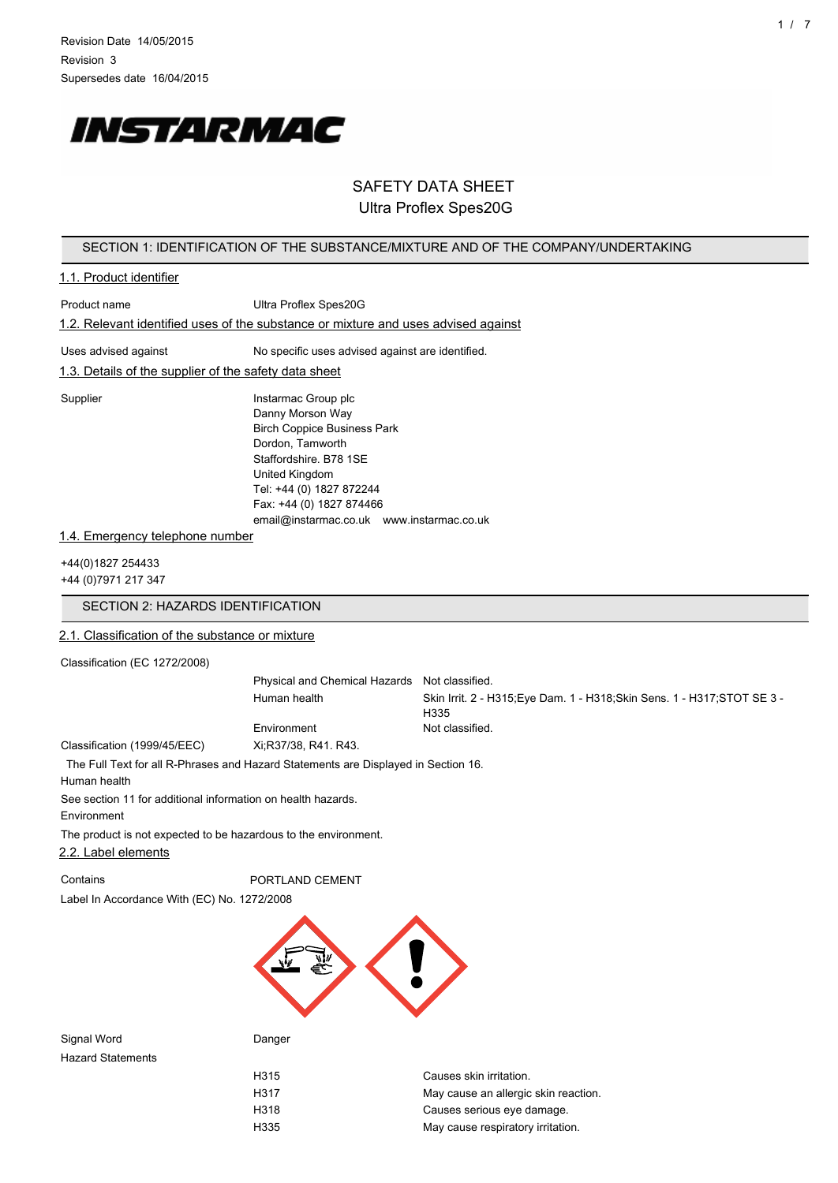

## SAFETY DATA SHEET Ultra Proflex Spes20G

### SECTION 1: IDENTIFICATION OF THE SUBSTANCE/MIXTURE AND OF THE COMPANY/UNDERTAKING

### 1.1. Product identifier

| Product name                                          | Ultra Proflex Spes20G                                                              |
|-------------------------------------------------------|------------------------------------------------------------------------------------|
|                                                       | 1.2. Relevant identified uses of the substance or mixture and uses advised against |
| Uses advised against                                  | No specific uses advised against are identified.                                   |
| 1.3. Details of the supplier of the safety data sheet |                                                                                    |
| Supplier                                              | Instarmac Group plc                                                                |
|                                                       | Danny Morson Way                                                                   |

Danny Morson Way Birch Coppice Business Park Dordon, Tamworth Staffordshire. B78 1SE United Kingdom Tel: +44 (0) 1827 872244 Fax: +44 (0) 1827 874466 email@instarmac.co.uk www.instarmac.co.uk

#### 1.4. Emergency telephone number

+44(0)1827 254433 +44 (0)7971 217 347

## SECTION 2: HAZARDS IDENTIFICATION

## 2.1. Classification of the substance or mixture

Classification (EC 1272/2008)

Physical and Chemical Hazards Not classified. Human health Skin Irrit. 2 - H315;Eye Dam. 1 - H318;Skin Sens. 1 - H317;STOT SE 3 - H335 Environment Not classified.

Classification (1999/45/EEC) Xi;R37/38, R41. R43.

The Full Text for all R-Phrases and Hazard Statements are Displayed in Section 16.

Human health

See section 11 for additional information on health hazards.

Environment

The product is not expected to be hazardous to the environment.

2.2. Label elements

Contains **PORTLAND CEMENT** 

Label In Accordance With (EC) No. 1272/2008



Signal Word **Danger** Hazard Statements

| H315 | Causes skin irritation.              |
|------|--------------------------------------|
| H317 | May cause an allergic skin reaction. |
| H318 | Causes serious eye damage.           |
| H335 | May cause respiratory irritation.    |
|      |                                      |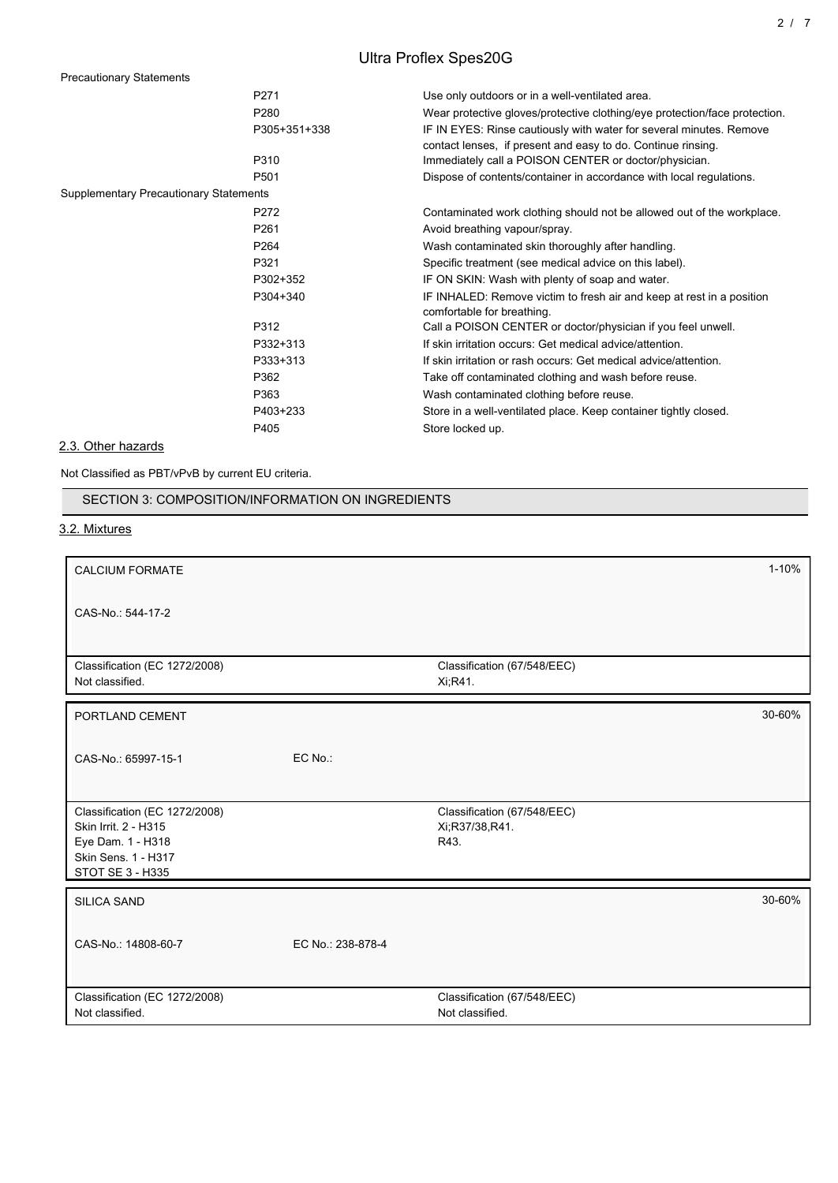# Ultra Proflex Spes20G

Precautionary Statements

|                                               | P271             | Use only outdoors or in a well-ventilated area.                                                                                     |
|-----------------------------------------------|------------------|-------------------------------------------------------------------------------------------------------------------------------------|
|                                               | P280             | Wear protective gloves/protective clothing/eye protection/face protection.                                                          |
|                                               | P305+351+338     | IF IN EYES: Rinse cautiously with water for several minutes. Remove<br>contact lenses, if present and easy to do. Continue rinsing. |
|                                               | P310             | Immediately call a POISON CENTER or doctor/physician.                                                                               |
|                                               | P <sub>501</sub> | Dispose of contents/container in accordance with local regulations.                                                                 |
| <b>Supplementary Precautionary Statements</b> |                  |                                                                                                                                     |
|                                               | P272             | Contaminated work clothing should not be allowed out of the workplace.                                                              |
|                                               | P <sub>261</sub> | Avoid breathing vapour/spray.                                                                                                       |
|                                               | P <sub>264</sub> | Wash contaminated skin thoroughly after handling.                                                                                   |
|                                               | P321             | Specific treatment (see medical advice on this label).                                                                              |
|                                               | P302+352         | IF ON SKIN: Wash with plenty of soap and water.                                                                                     |
|                                               | P304+340         | IF INHALED: Remove victim to fresh air and keep at rest in a position<br>comfortable for breathing.                                 |
|                                               | P312             | Call a POISON CENTER or doctor/physician if you feel unwell.                                                                        |
|                                               | P332+313         | If skin irritation occurs: Get medical advice/attention.                                                                            |
|                                               | P333+313         | If skin irritation or rash occurs: Get medical advice/attention.                                                                    |
|                                               | P362             | Take off contaminated clothing and wash before reuse.                                                                               |
|                                               | P363             | Wash contaminated clothing before reuse.                                                                                            |
|                                               | P403+233         | Store in a well-ventilated place. Keep container tightly closed.                                                                    |
|                                               | P405             | Store locked up.                                                                                                                    |

2.3. Other hazards

Not Classified as PBT/vPvB by current EU criteria.

SECTION 3: COMPOSITION/INFORMATION ON INGREDIENTS

3.2. Mixtures

| <b>CALCIUM FORMATE</b>                                                                                                |                   |                                                       | $1 - 10%$ |
|-----------------------------------------------------------------------------------------------------------------------|-------------------|-------------------------------------------------------|-----------|
| CAS-No.: 544-17-2                                                                                                     |                   |                                                       |           |
| Classification (EC 1272/2008)<br>Not classified.                                                                      |                   | Classification (67/548/EEC)<br>Xi, R41.               |           |
| PORTLAND CEMENT                                                                                                       |                   |                                                       | 30-60%    |
| CAS-No.: 65997-15-1                                                                                                   | EC No.:           |                                                       |           |
| Classification (EC 1272/2008)<br>Skin Irrit. 2 - H315<br>Eye Dam. 1 - H318<br>Skin Sens. 1 - H317<br>STOT SE 3 - H335 |                   | Classification (67/548/EEC)<br>Xi;R37/38,R41.<br>R43. |           |
| <b>SILICA SAND</b>                                                                                                    |                   |                                                       | 30-60%    |
| CAS-No.: 14808-60-7                                                                                                   | EC No.: 238-878-4 |                                                       |           |
| Classification (EC 1272/2008)<br>Not classified.                                                                      |                   | Classification (67/548/EEC)<br>Not classified.        |           |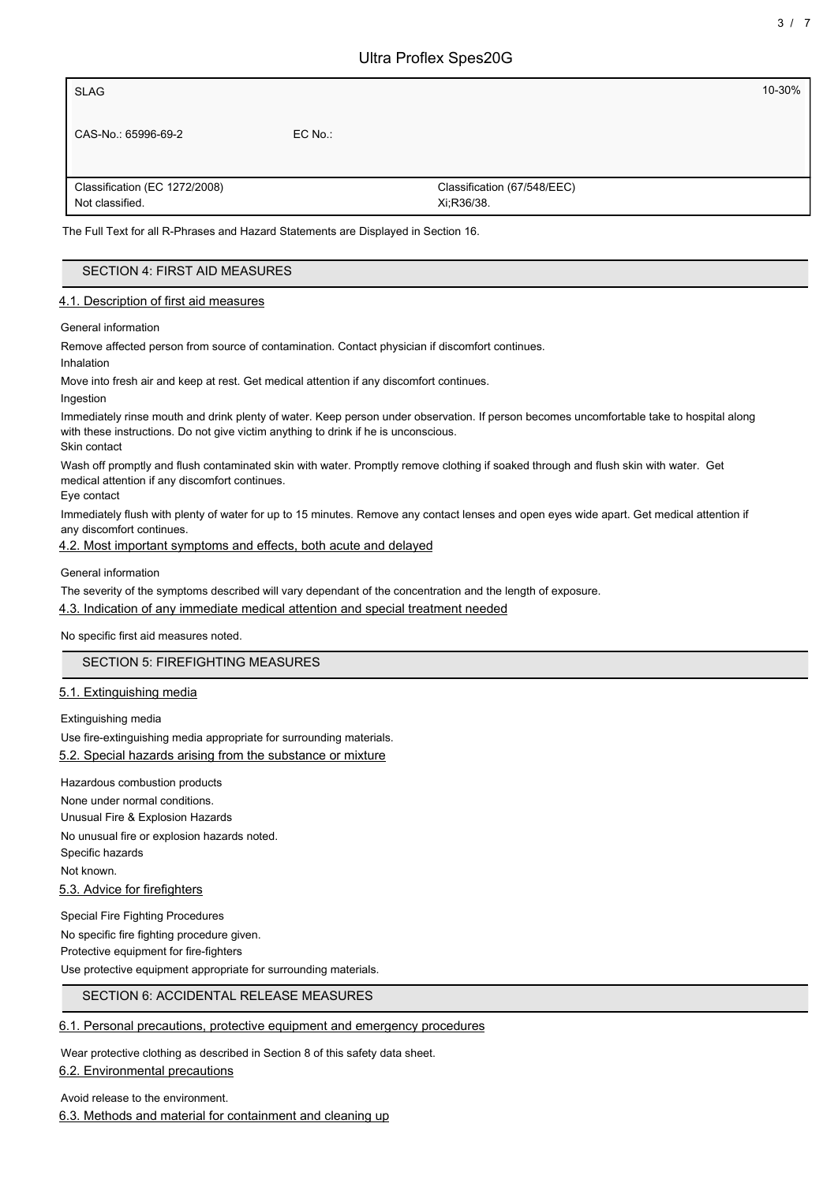| <b>SLAG</b>                   |           |                             | 10-30% |
|-------------------------------|-----------|-----------------------------|--------|
|                               |           |                             |        |
| CAS-No.: 65996-69-2           | $EC$ No.: |                             |        |
|                               |           |                             |        |
| Classification (EC 1272/2008) |           | Classification (67/548/EEC) |        |
| Not classified.               |           | Xi:R36/38.                  |        |

The Full Text for all R-Phrases and Hazard Statements are Displayed in Section 16.

| SECTION 4: FIRST AID MEASURES          |  |
|----------------------------------------|--|
| 4.1. Description of first aid measures |  |

General information

Remove affected person from source of contamination. Contact physician if discomfort continues.

Inhalation

Move into fresh air and keep at rest. Get medical attention if any discomfort continues.

Ingestion

Immediately rinse mouth and drink plenty of water. Keep person under observation. If person becomes uncomfortable take to hospital along with these instructions. Do not give victim anything to drink if he is unconscious. Skin contact

Wash off promptly and flush contaminated skin with water. Promptly remove clothing if soaked through and flush skin with water. Get medical attention if any discomfort continues.

Eye contact

Immediately flush with plenty of water for up to 15 minutes. Remove any contact lenses and open eyes wide apart. Get medical attention if any discomfort continues.

4.2. Most important symptoms and effects, both acute and delayed

General information

The severity of the symptoms described will vary dependant of the concentration and the length of exposure.

4.3. Indication of any immediate medical attention and special treatment needed

No specific first aid measures noted.

SECTION 5: FIREFIGHTING MEASURES

5.1. Extinguishing media

Extinguishing media

Use fire-extinguishing media appropriate for surrounding materials.

5.2. Special hazards arising from the substance or mixture

Hazardous combustion products None under normal conditions. Unusual Fire & Explosion Hazards No unusual fire or explosion hazards noted. Specific hazards Not known. 5.3. Advice for firefighters

Special Fire Fighting Procedures No specific fire fighting procedure given. Protective equipment for fire-fighters Use protective equipment appropriate for surrounding materials.

## SECTION 6: ACCIDENTAL RELEASE MEASURES

### 6.1. Personal precautions, protective equipment and emergency procedures

Wear protective clothing as described in Section 8 of this safety data sheet.

6.2. Environmental precautions

Avoid release to the environment.

6.3. Methods and material for containment and cleaning up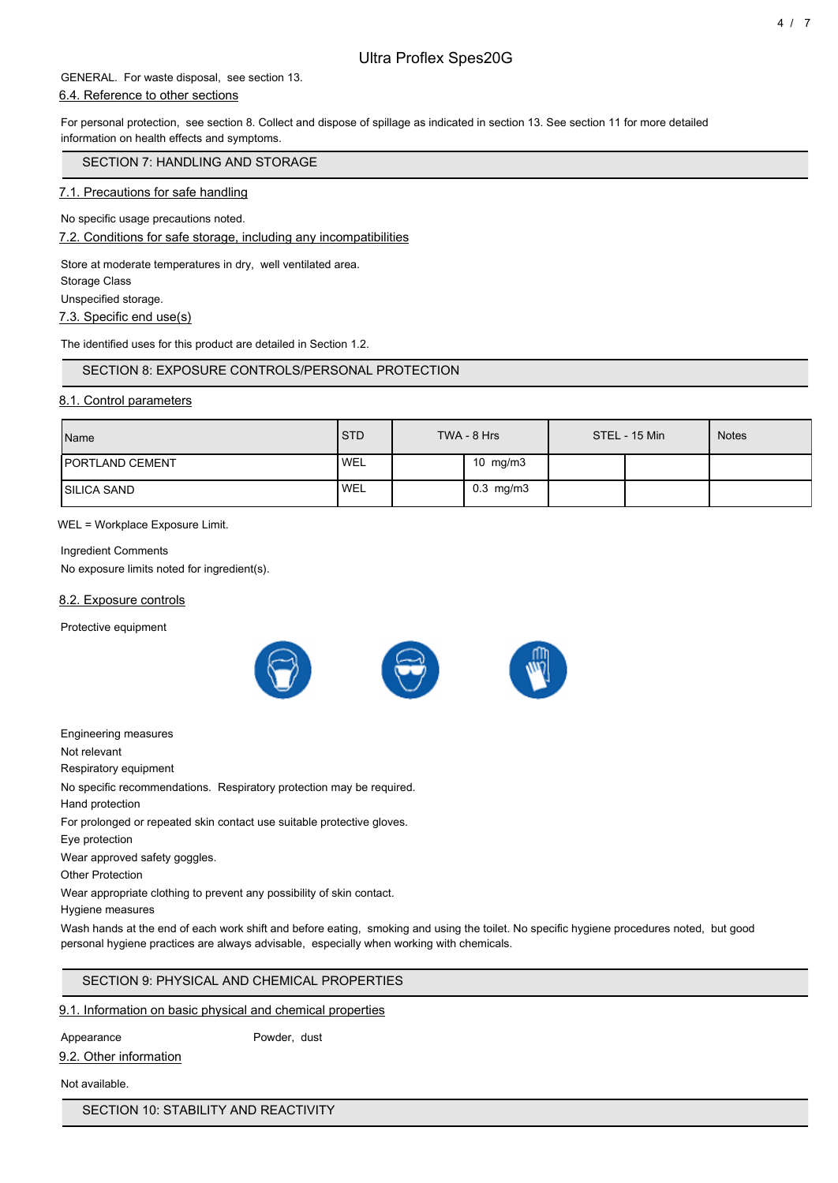## GENERAL. For waste disposal, see section 13.

### 6.4. Reference to other sections

For personal protection, see section 8. Collect and dispose of spillage as indicated in section 13. See section 11 for more detailed information on health effects and symptoms.

SECTION 7: HANDLING AND STORAGE

7.1. Precautions for safe handling

No specific usage precautions noted.

7.2. Conditions for safe storage, including any incompatibilities

Store at moderate temperatures in dry, well ventilated area. Storage Class

Unspecified storage.

7.3. Specific end use(s)

The identified uses for this product are detailed in Section 1.2.

## SECTION 8: EXPOSURE CONTROLS/PERSONAL PROTECTION

### 8.1. Control parameters

| Name                   | <b>STD</b> | TWA - 8 Hrs       | STEL - 15 Min | <b>Notes</b> |
|------------------------|------------|-------------------|---------------|--------------|
| <b>PORTLAND CEMENT</b> | <b>WEL</b> | 10 $mg/m3$        |               |              |
| <b>ISILICA SAND</b>    | <b>WEL</b> | $0.3 \,$ mg/m $3$ |               |              |

### WEL = Workplace Exposure Limit.

#### Ingredient Comments

No exposure limits noted for ingredient(s).

### 8.2. Exposure controls

Protective equipment



Engineering measures

Not relevant

Respiratory equipment

No specific recommendations. Respiratory protection may be required. Hand protection

For prolonged or repeated skin contact use suitable protective gloves.

Eye protection

Wear approved safety goggles.

Other Protection

Wear appropriate clothing to prevent any possibility of skin contact.

Hygiene measures

Wash hands at the end of each work shift and before eating, smoking and using the toilet. No specific hygiene procedures noted, but good personal hygiene practices are always advisable, especially when working with chemicals.

## SECTION 9: PHYSICAL AND CHEMICAL PROPERTIES

9.1. Information on basic physical and chemical properties

Appearance Powder, dust

Not available.

9.2. Other information

SECTION 10: STABILITY AND REACTIVITY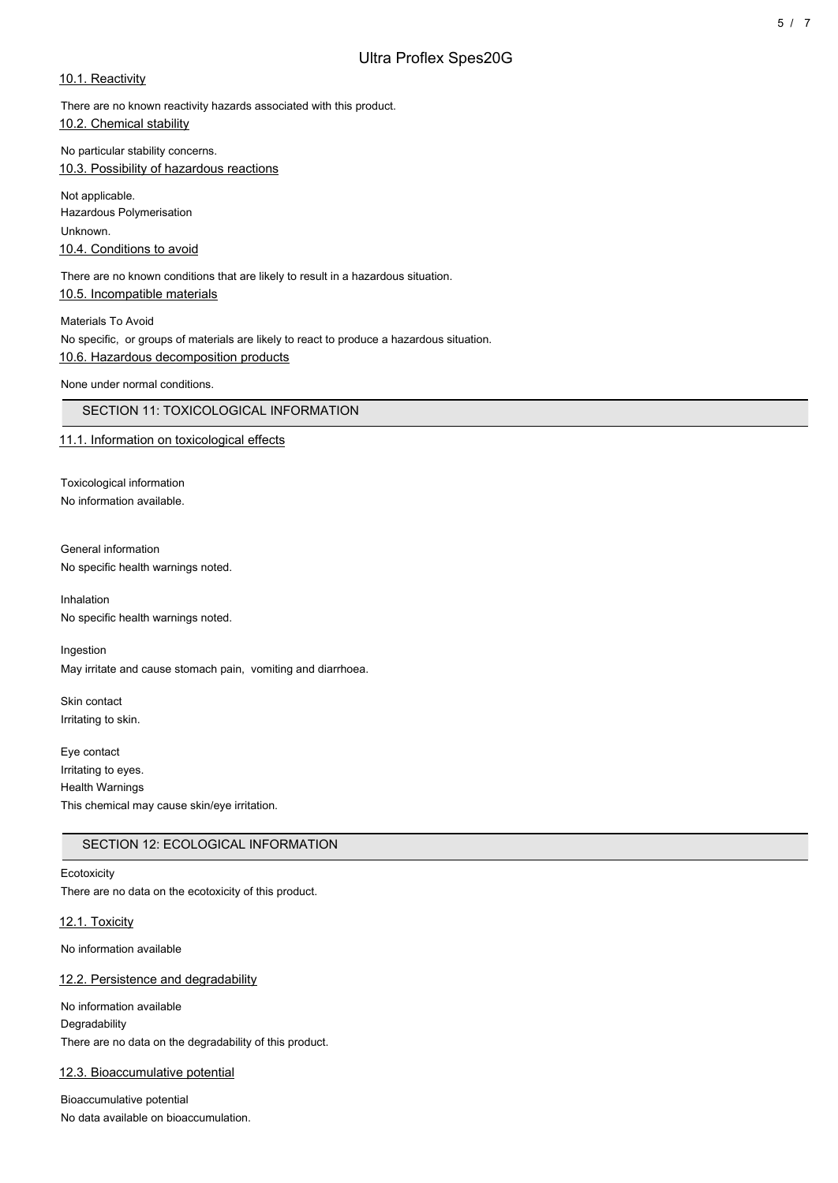## 10.1. Reactivity

There are no known reactivity hazards associated with this product.

10.2. Chemical stability

No particular stability concerns. 10.3. Possibility of hazardous reactions

Not applicable. Hazardous Polymerisation Unknown. 10.4. Conditions to avoid

There are no known conditions that are likely to result in a hazardous situation. 10.5. Incompatible materials

Materials To Avoid No specific, or groups of materials are likely to react to produce a hazardous situation. 10.6. Hazardous decomposition products

None under normal conditions.

## SECTION 11: TOXICOLOGICAL INFORMATION

## 11.1. Information on toxicological effects

Toxicological information No information available.

General information No specific health warnings noted.

Inhalation No specific health warnings noted.

Ingestion May irritate and cause stomach pain, vomiting and diarrhoea.

Skin contact Irritating to skin.

Eye contact Irritating to eyes. Health Warnings This chemical may cause skin/eye irritation.

## SECTION 12: ECOLOGICAL INFORMATION

#### **Ecotoxicity**

There are no data on the ecotoxicity of this product.

12.1. Toxicity

No information available

### 12.2. Persistence and degradability

No information available Degradability There are no data on the degradability of this product.

### 12.3. Bioaccumulative potential

Bioaccumulative potential No data available on bioaccumulation.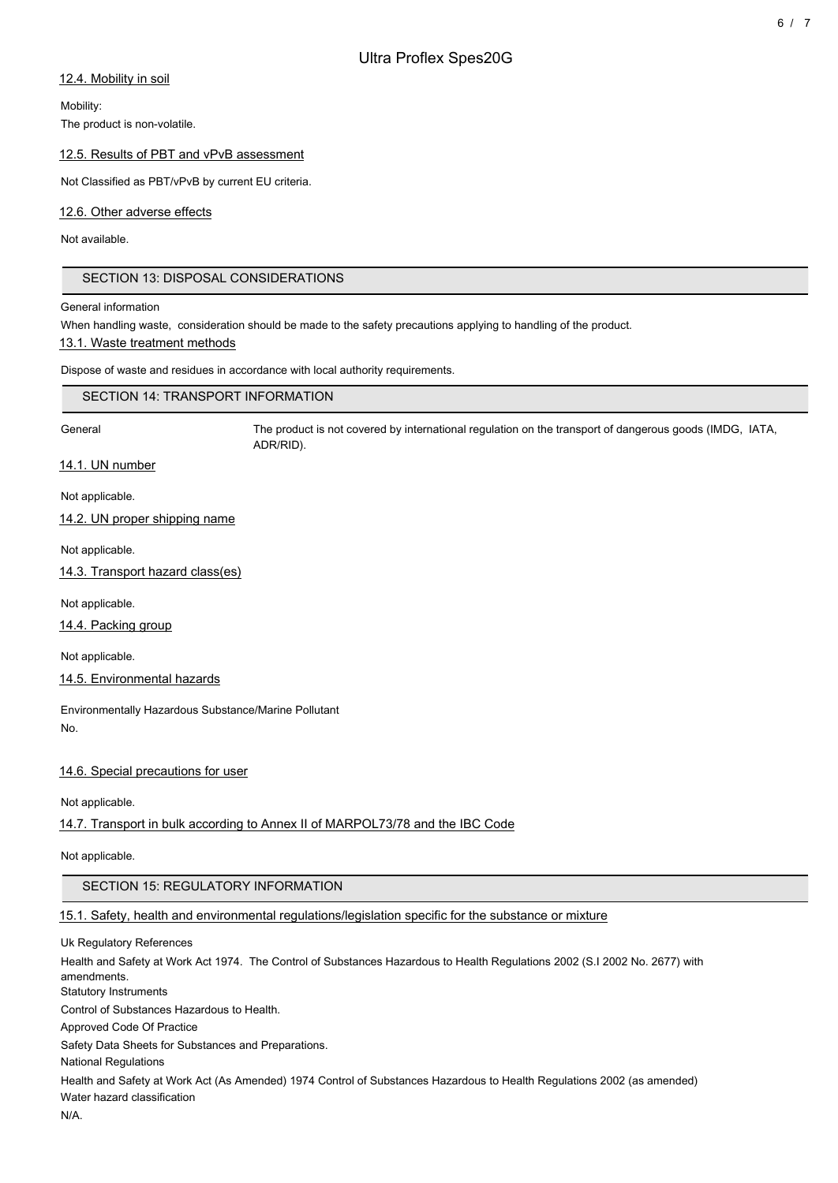### 12.4. Mobility in soil

Mobility:

The product is non-volatile.

12.5. Results of PBT and vPvB assessment

Not Classified as PBT/vPvB by current EU criteria.

12.6. Other adverse effects

Not available.

## SECTION 13: DISPOSAL CONSIDERATIONS

General information

When handling waste, consideration should be made to the safety precautions applying to handling of the product.

### 13.1. Waste treatment methods

Dispose of waste and residues in accordance with local authority requirements.

### SECTION 14: TRANSPORT INFORMATION

General The product is not covered by international regulation on the transport of dangerous goods (IMDG, IATA, ADR/RID).

14.1. UN number

Not applicable.

14.2. UN proper shipping name

Not applicable.

14.3. Transport hazard class(es)

Not applicable.

14.4. Packing group

Not applicable.

14.5. Environmental hazards

Environmentally Hazardous Substance/Marine Pollutant No.

### 14.6. Special precautions for user

Not applicable.

14.7. Transport in bulk according to Annex II of MARPOL73/78 and the IBC Code

Not applicable.

## SECTION 15: REGULATORY INFORMATION

15.1. Safety, health and environmental regulations/legislation specific for the substance or mixture

Uk Regulatory References Health and Safety at Work Act 1974. The Control of Substances Hazardous to Health Regulations 2002 (S.I 2002 No. 2677) with amendments. Statutory Instruments Control of Substances Hazardous to Health. Approved Code Of Practice Safety Data Sheets for Substances and Preparations. National Regulations Health and Safety at Work Act (As Amended) 1974 Control of Substances Hazardous to Health Regulations 2002 (as amended) Water hazard classification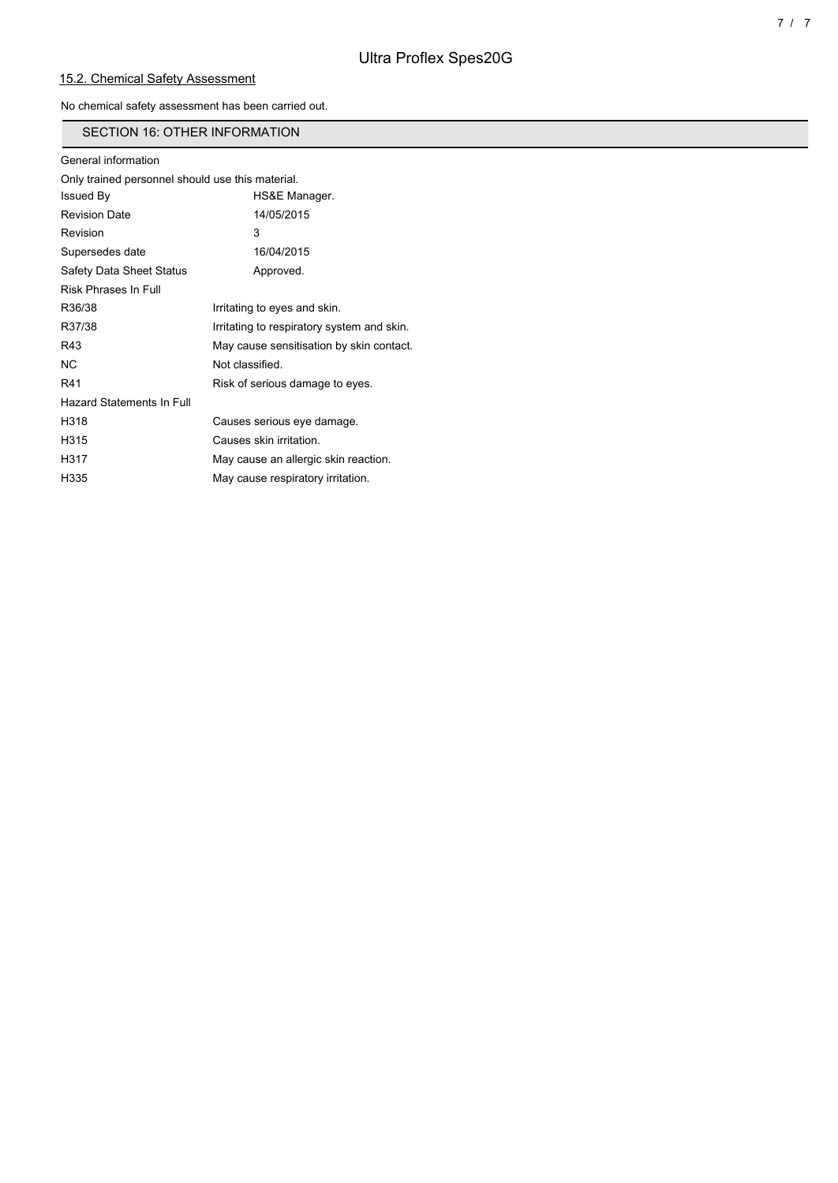## 15.2. Chemical Safety Assessment

No chemical safety assessment has been carried out.

## SECTION 16: OTHER INFORMATION

| General information                              |                                            |  |  |  |
|--------------------------------------------------|--------------------------------------------|--|--|--|
| Only trained personnel should use this material. |                                            |  |  |  |
| <b>Issued By</b>                                 | HS&E Manager.                              |  |  |  |
| <b>Revision Date</b>                             | 14/05/2015                                 |  |  |  |
| Revision                                         | 3                                          |  |  |  |
| Supersedes date                                  | 16/04/2015                                 |  |  |  |
| Safety Data Sheet Status                         | Approved.                                  |  |  |  |
| Risk Phrases In Full                             |                                            |  |  |  |
| R36/38                                           | Irritating to eyes and skin.               |  |  |  |
| R37/38                                           | Irritating to respiratory system and skin. |  |  |  |
| R43                                              | May cause sensitisation by skin contact.   |  |  |  |
| NC.                                              | Not classified.                            |  |  |  |
| R41                                              | Risk of serious damage to eyes.            |  |  |  |
| Hazard Statements In Full                        |                                            |  |  |  |
| H318                                             | Causes serious eye damage.                 |  |  |  |
| H315                                             | Causes skin irritation.                    |  |  |  |
| H317                                             | May cause an allergic skin reaction.       |  |  |  |
| H335                                             | May cause respiratory irritation.          |  |  |  |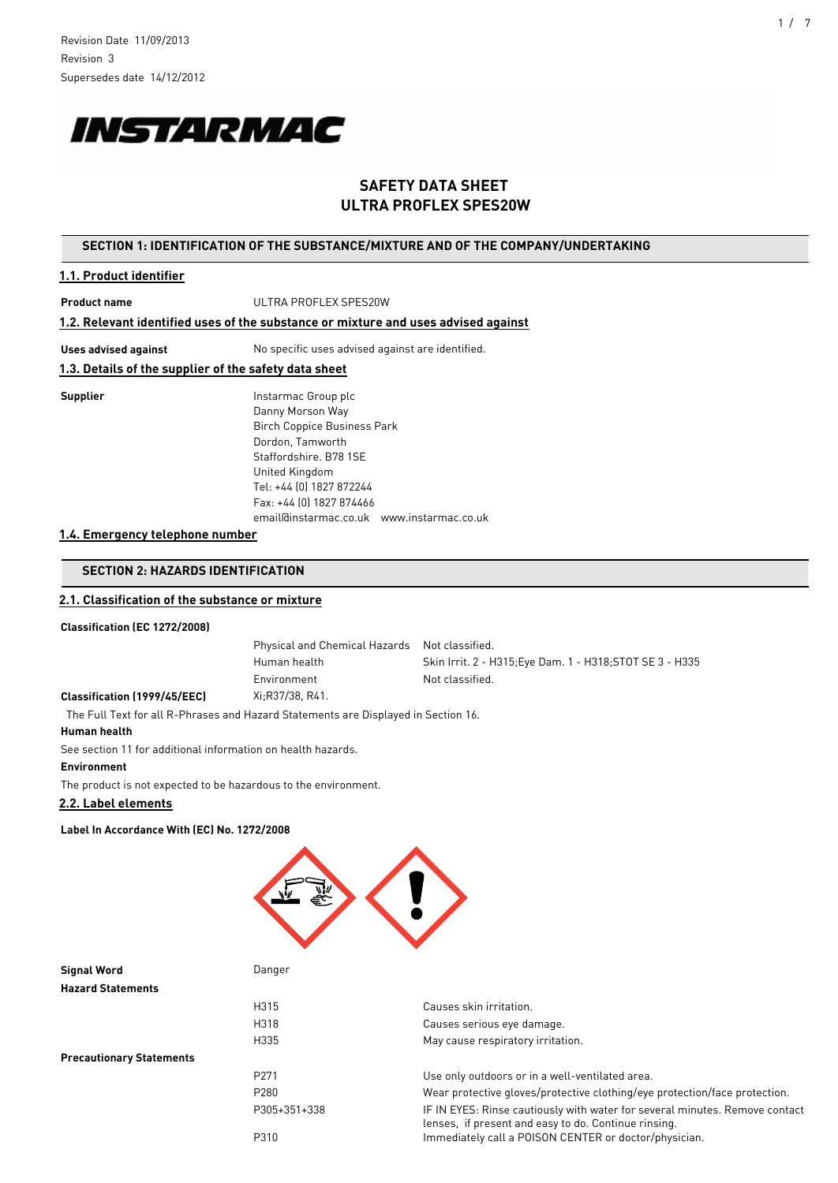

# **SAFETY DATA SHEET ULTRA PROFLEX SPES20W**

## **SECTION 1: IDENTIFICATION OF THE SUBSTANCE/MIXTURE AND OF THE COMPANY/UNDERTAKING**

### **1.1. Product identifier**

**Product name** ULTRA PROFLEX SPES20W

#### **1.2. Relevant identified uses of the substance or mixture and uses advised against**

Uses advised against **No specific uses advised against are identified.** 

## **1.3. Details of the supplier of the safety data sheet**

**Supplier Instarmac Group plc** Danny Morson Way Birch Coppice Business Park Dordon, Tamworth Staffordshire. B78 1SE United Kingdom Tel: +44 (0) 1827 872244 Fax: +44 (0) 1827 874466 email@instarmac.co.uk www.instarmac.co.uk

## **1.4. Emergency telephone number**

## **SECTION 2: HAZARDS IDENTIFICATION**

## **2.1. Classification of the substance or mixture**

#### **Classification (EC 1272/2008)**

|                                                                                             | Physical and Chemical Hazards Not classified. |                                                           |
|---------------------------------------------------------------------------------------------|-----------------------------------------------|-----------------------------------------------------------|
|                                                                                             | Human health                                  | Skin Irrit. 2 - H315; Eye Dam. 1 - H318; STOT SE 3 - H335 |
|                                                                                             | Environment                                   | Not classified.                                           |
| <b>Classification (1999/45/EEC)</b>                                                         | Xi:R37/38, R41.                               |                                                           |
| . The Foll Teachface of D. Dhose care and Hanged Characteristic District of the Carriers 47 |                                               |                                                           |

The Full Text for all R-Phrases and Hazard Statements are Displayed in Section 16.

### **Human health**

See section 11 for additional information on health hazards.

#### **Environment**

The product is not expected to be hazardous to the environment.

#### **2.2. Label elements**

**Label In Accordance With (EC) No. 1272/2008**



| <b>Signal Word</b>              | Danger           |                                                                                                                                     |
|---------------------------------|------------------|-------------------------------------------------------------------------------------------------------------------------------------|
| <b>Hazard Statements</b>        |                  |                                                                                                                                     |
|                                 | H315             | Causes skin irritation.                                                                                                             |
|                                 | H318             | Causes serious eye damage.                                                                                                          |
|                                 | H335             | May cause respiratory irritation.                                                                                                   |
| <b>Precautionary Statements</b> |                  |                                                                                                                                     |
|                                 | P <sub>271</sub> | Use only outdoors or in a well-ventilated area.                                                                                     |
|                                 | P280             | Wear protective gloves/protective clothing/eye protection/face protection.                                                          |
|                                 | P305+351+338     | IF IN EYES: Rinse cautiously with water for several minutes. Remove contact<br>lenses, if present and easy to do. Continue rinsing. |
|                                 | P310             | Immediately call a POISON CENTER or doctor/physician.                                                                               |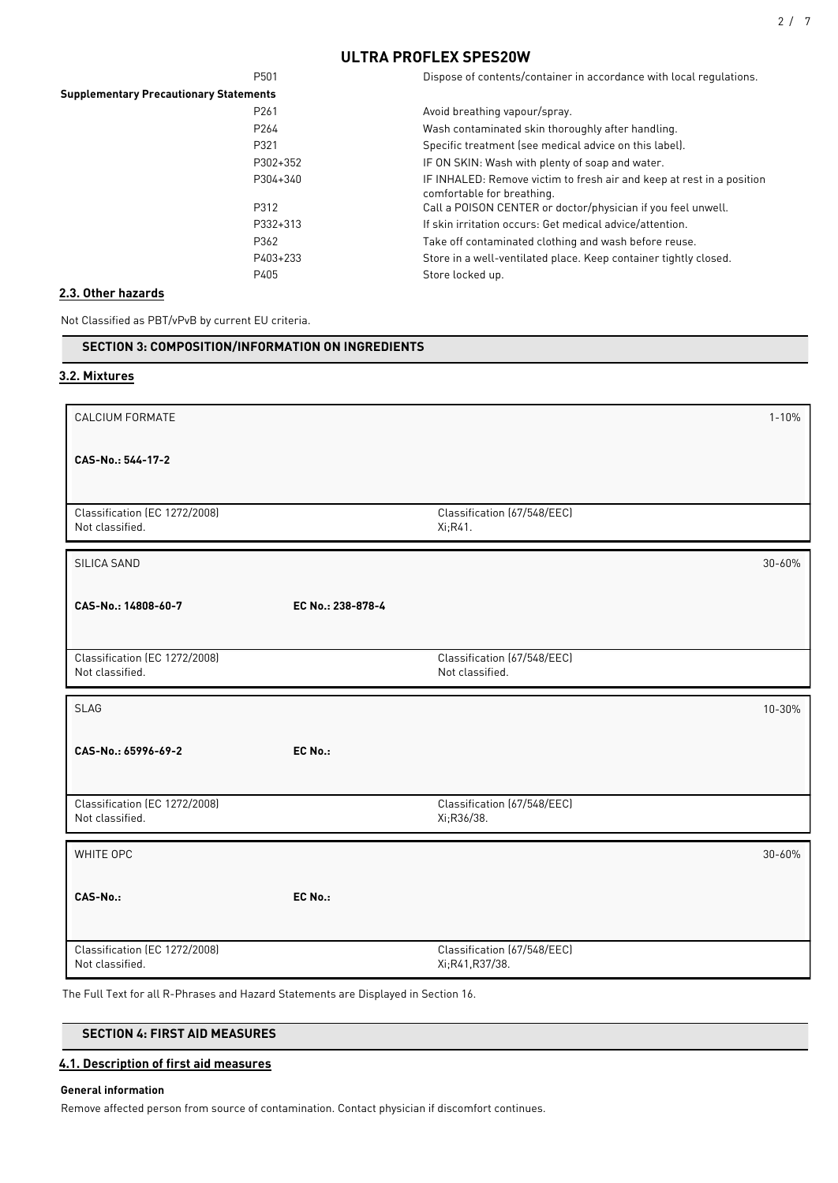P501 Dispose of contents/container in accordance with local regulations.

| IF INHALED: Remove victim to fresh air and keep at rest in a position |
|-----------------------------------------------------------------------|
|                                                                       |
|                                                                       |
|                                                                       |
|                                                                       |
|                                                                       |
|                                                                       |

## **2.3. Other hazards**

Not Classified as PBT/vPvB by current EU criteria.

## **SECTION 3: COMPOSITION/INFORMATION ON INGREDIENTS**

**3.2. Mixtures**

| CALCIUM FORMATE                                  |                   |                                                | $1 - 10%$ |
|--------------------------------------------------|-------------------|------------------------------------------------|-----------|
| CAS-No.: 544-17-2                                |                   |                                                |           |
|                                                  |                   |                                                |           |
| Classification (EC 1272/2008)<br>Not classified. |                   | Classification (67/548/EEC)<br>Xi;R41.         |           |
| SILICA SAND                                      |                   |                                                | 30-60%    |
| CAS-No.: 14808-60-7                              | EC No.: 238-878-4 |                                                |           |
| Classification (EC 1272/2008)<br>Not classified. |                   | Classification (67/548/EEC)<br>Not classified. |           |
| <b>SLAG</b>                                      |                   |                                                | 10-30%    |
| CAS-No.: 65996-69-2                              | EC No.:           |                                                |           |
| Classification (EC 1272/2008)<br>Not classified. |                   | Classification (67/548/EEC)<br>Xi;R36/38.      |           |
| WHITE OPC                                        |                   |                                                | 30-60%    |
| CAS-No.:                                         | EC No.:           |                                                |           |
| Classification (EC 1272/2008)<br>Not classified. |                   | Classification (67/548/EEC)<br>Xi;R41,R37/38.  |           |

The Full Text for all R-Phrases and Hazard Statements are Displayed in Section 16.

| SECTION 4: FIRST AID MEASURES          |  |
|----------------------------------------|--|
| 4.1. Description of first aid measures |  |

#### **General information**

Remove affected person from source of contamination. Contact physician if discomfort continues.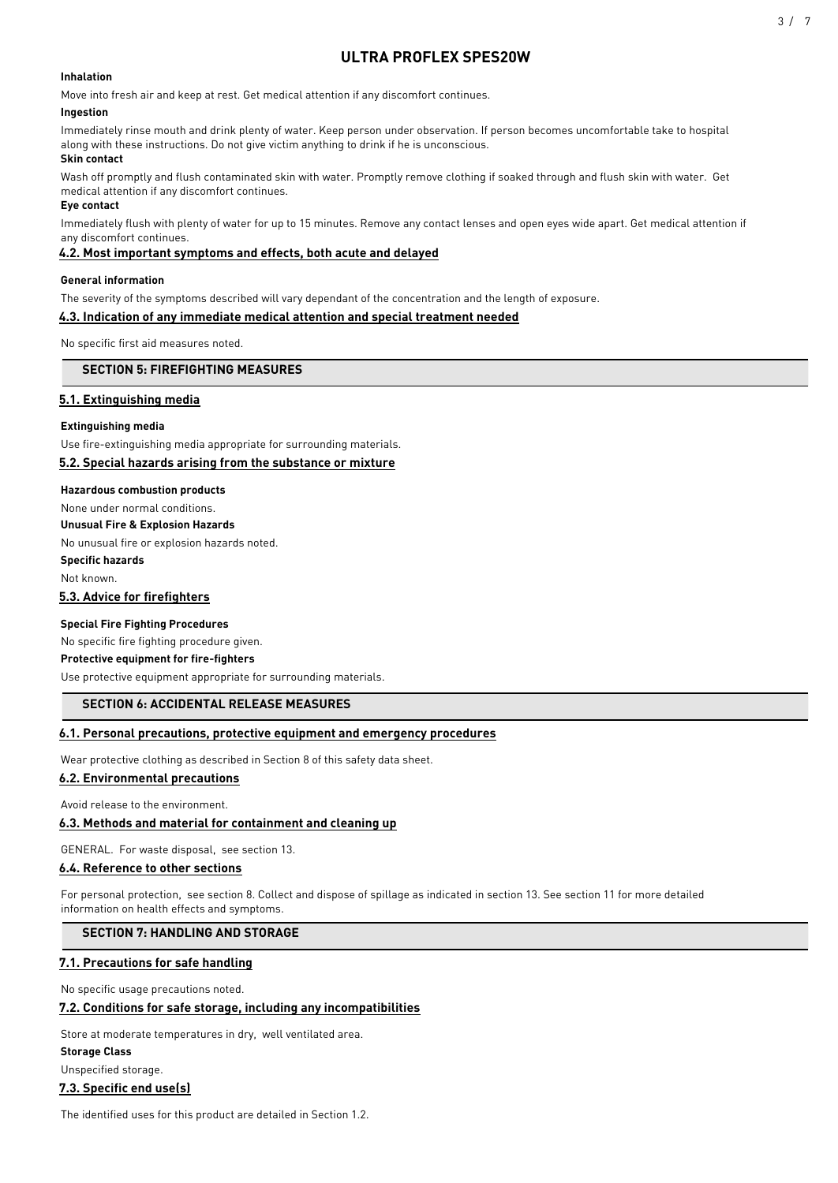### **Inhalation**

Move into fresh air and keep at rest. Get medical attention if any discomfort continues.

#### **Ingestion**

Immediately rinse mouth and drink plenty of water. Keep person under observation. If person becomes uncomfortable take to hospital along with these instructions. Do not give victim anything to drink if he is unconscious.

## **Skin contact**

Wash off promptly and flush contaminated skin with water. Promptly remove clothing if soaked through and flush skin with water. Get medical attention if any discomfort continues.

#### **Eye contact**

Immediately flush with plenty of water for up to 15 minutes. Remove any contact lenses and open eyes wide apart. Get medical attention if any discomfort continues.

### **4.2. Most important symptoms and effects, both acute and delayed**

### **General information**

The severity of the symptoms described will vary dependant of the concentration and the length of exposure.

## **4.3. Indication of any immediate medical attention and special treatment needed**

No specific first aid measures noted.

### **SECTION 5: FIREFIGHTING MEASURES**

## **5.1. Extinguishing media**

## **Extinguishing media**

Use fire-extinguishing media appropriate for surrounding materials.

## **5.2. Special hazards arising from the substance or mixture**

#### **Hazardous combustion products**

None under normal conditions.

### **Unusual Fire & Explosion Hazards**

No unusual fire or explosion hazards noted.

## **Specific hazards**

Not known.

## **5.3. Advice for firefighters**

### **Special Fire Fighting Procedures**

No specific fire fighting procedure given.

## **Protective equipment for fire-fighters**

Use protective equipment appropriate for surrounding materials.

## **SECTION 6: ACCIDENTAL RELEASE MEASURES**

### **6.1. Personal precautions, protective equipment and emergency procedures**

Wear protective clothing as described in Section 8 of this safety data sheet.

### **6.2. Environmental precautions**

Avoid release to the environment.

### **6.3. Methods and material for containment and cleaning up**

GENERAL. For waste disposal, see section 13.

### **6.4. Reference to other sections**

For personal protection, see section 8. Collect and dispose of spillage as indicated in section 13. See section 11 for more detailed information on health effects and symptoms.

## **SECTION 7: HANDLING AND STORAGE**

## **7.1. Precautions for safe handling**

No specific usage precautions noted.

### **7.2. Conditions for safe storage, including any incompatibilities**

Store at moderate temperatures in dry, well ventilated area.

## **Storage Class**

Unspecified storage.

## **7.3. Specific end use(s)**

The identified uses for this product are detailed in Section 1.2.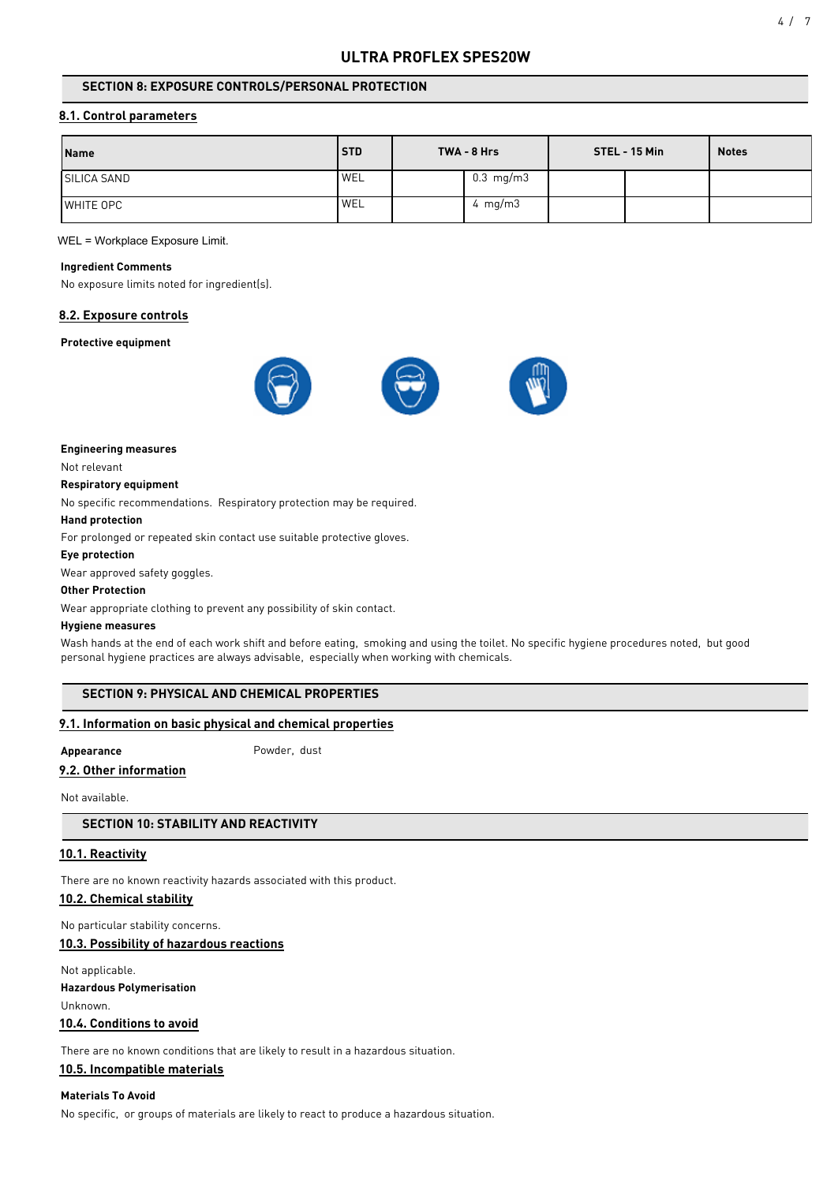## **SECTION 8: EXPOSURE CONTROLS/PERSONAL PROTECTION**

## **8.1. Control parameters**

| <b>Name</b>        | l STD      | TWA - 8 Hrs          | STEL - 15 Min | <b>Notes</b> |
|--------------------|------------|----------------------|---------------|--------------|
| <b>SILICA SAND</b> | <b>WEL</b> | $0.3 \,$ mg/m $3 \,$ |               |              |
| IWHITE OPC         | <b>WEL</b> | $4 \, \text{mg/m3}$  |               |              |

#### WEL = Workplace Exposure Limit.

#### **Ingredient Comments**

No exposure limits noted for ingredient(s).

### **8.2. Exposure controls**

#### **Protective equipment**



### **Engineering measures**

Not relevant

#### **Respiratory equipment**

No specific recommendations. Respiratory protection may be required.

#### **Hand protection**

For prolonged or repeated skin contact use suitable protective gloves.

#### **Eye protection**

Wear approved safety goggles.

#### **Other Protection**

Wear appropriate clothing to prevent any possibility of skin contact.

#### **Hygiene measures**

Wash hands at the end of each work shift and before eating, smoking and using the toilet. No specific hygiene procedures noted, but good personal hygiene practices are always advisable, especially when working with chemicals.

## **SECTION 9: PHYSICAL AND CHEMICAL PROPERTIES**

## **9.1. Information on basic physical and chemical properties**

Appearance **Powder, dust** 

### **9.2. Other information**

Not available.

## **SECTION 10: STABILITY AND REACTIVITY**

### **10.1. Reactivity**

There are no known reactivity hazards associated with this product.

### **10.2. Chemical stability**

No particular stability concerns.

## **10.3. Possibility of hazardous reactions**

Not applicable. **Hazardous Polymerisation** Unknown. **10.4. Conditions to avoid**

There are no known conditions that are likely to result in a hazardous situation.

## **10.5. Incompatible materials**

**Materials To Avoid**

No specific, or groups of materials are likely to react to produce a hazardous situation.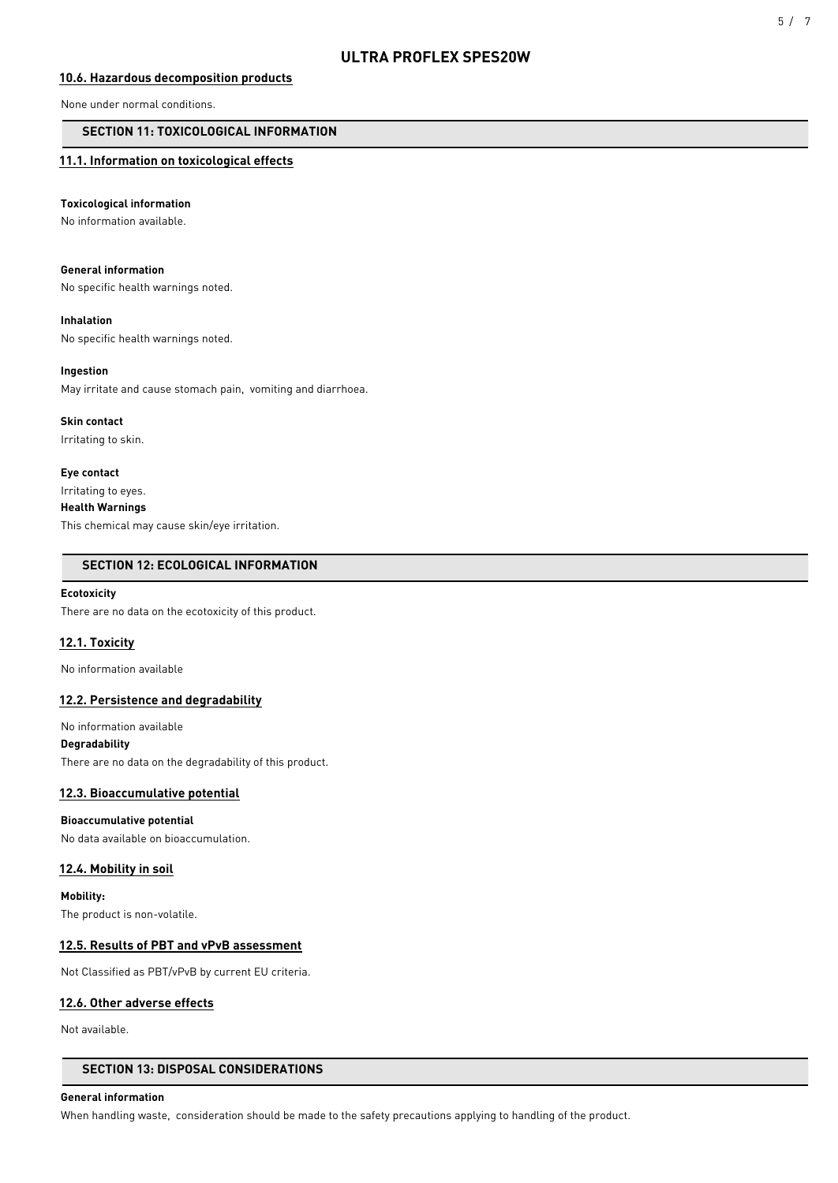## **10.6. Hazardous decomposition products**

None under normal conditions.

## **SECTION 11: TOXICOLOGICAL INFORMATION**

## **11.1. Information on toxicological effects**

#### **Toxicological information**

No information available.

## **General information**

No specific health warnings noted.

**Inhalation** No specific health warnings noted.

**Ingestion**

May irritate and cause stomach pain, vomiting and diarrhoea.

**Skin contact**

Irritating to skin.

**Eye contact**

## Irritating to eyes.

**Health Warnings**

This chemical may cause skin/eye irritation.

## **SECTION 12: ECOLOGICAL INFORMATION**

#### **Ecotoxicity**

There are no data on the ecotoxicity of this product.

### **12.1. Toxicity**

No information available

#### **12.2. Persistence and degradability**

No information available **Degradability** There are no data on the degradability of this product.

#### **12.3. Bioaccumulative potential**

# **Bioaccumulative potential**

No data available on bioaccumulation.

## **12.4. Mobility in soil**

**Mobility:** The product is non-volatile.

### **12.5. Results of PBT and vPvB assessment**

Not Classified as PBT/vPvB by current EU criteria.

### **12.6. Other adverse effects**

Not available.

## **SECTION 13: DISPOSAL CONSIDERATIONS**

#### **General information**

When handling waste, consideration should be made to the safety precautions applying to handling of the product.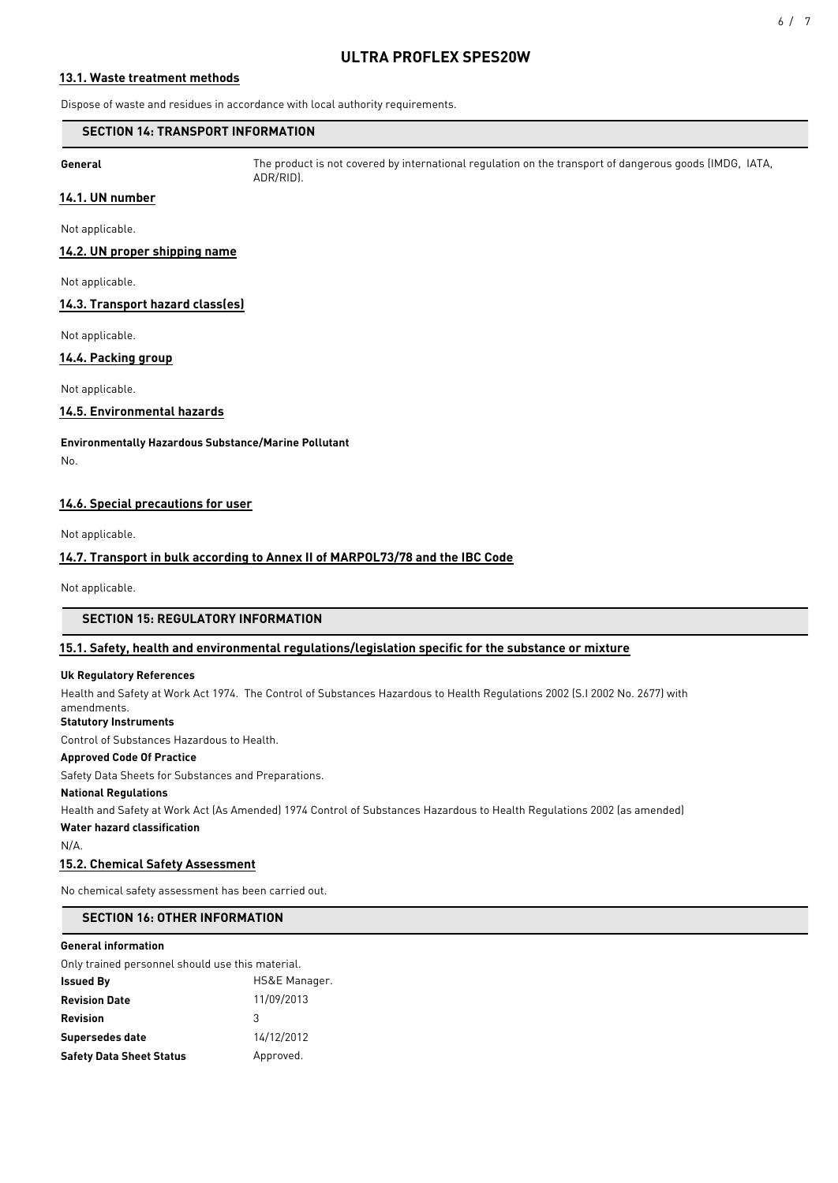## **13.1. Waste treatment methods**

Dispose of waste and residues in accordance with local authority requirements.

## **SECTION 14: TRANSPORT INFORMATION**

**General** The product is not covered by international regulation on the transport of dangerous goods (IMDG, IATA, ADR/RID).

## **14.1. UN number**

Not applicable.

## **14.2. UN proper shipping name**

Not applicable.

## **14.3. Transport hazard class(es)**

Not applicable.

## **14.4. Packing group**

Not applicable.

## **14.5. Environmental hazards**

**Environmentally Hazardous Substance/Marine Pollutant** No.

# **14.6. Special precautions for user**

Not applicable.

## **14.7. Transport in bulk according to Annex II of MARPOL73/78 and the IBC Code**

Not applicable.

## **SECTION 15: REGULATORY INFORMATION**

## **15.1. Safety, health and environmental regulations/legislation specific for the substance or mixture**

#### **Uk Regulatory References**

Health and Safety at Work Act 1974. The Control of Substances Hazardous to Health Regulations 2002 (S.I 2002 No. 2677) with amendments.

## **Statutory Instruments**

Control of Substances Hazardous to Health.

## **Approved Code Of Practice**

Safety Data Sheets for Substances and Preparations.

#### **National Regulations**

Health and Safety at Work Act (As Amended) 1974 Control of Substances Hazardous to Health Regulations 2002 (as amended)

## **Water hazard classification**

N/A.

## **15.2. Chemical Safety Assessment**

No chemical safety assessment has been carried out.

### **SECTION 16: OTHER INFORMATION**

#### **General information**

Only trained personnel should use this material.

| <b>Issued By</b>                | HS&E Manager. |  |  |
|---------------------------------|---------------|--|--|
| <b>Revision Date</b>            | 11/09/2013    |  |  |
| Revision                        | 3             |  |  |
| <b>Supersedes date</b>          | 14/12/2012    |  |  |
| <b>Safety Data Sheet Status</b> | Approved.     |  |  |